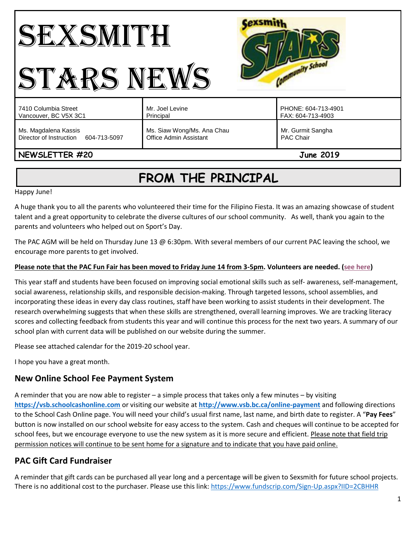# SEXSMITH STARS NEWS



# **NEWSLETTER #20 June 2019**

# **FROM THE PRINCIPAL**

Happy June!

A huge thank you to all the parents who volunteered their time for the Filipino Fiesta. It was an amazing showcase of student talent and a great opportunity to celebrate the diverse cultures of our school community. As well, thank you again to the parents and volunteers who helped out on Sport's Day.

The PAC AGM will be held on Thursday June 13 @ 6:30pm. With several members of our current PAC leaving the school, we encourage more parents to get involved.

#### **Please note that the PAC Fun Fair has been moved to Friday June 14 from 3-5pm. Volunteers are needed. [\(see here\)](https://volunteersignup.org/H3EK9)**

This year staff and students have been focused on improving social emotional skills such as self- awareness, self-management, social awareness, relationship skills, and responsible decision-making. Through targeted lessons, school assemblies, and incorporating these ideas in every day class routines, staff have been working to assist students in their development. The research overwhelming suggests that when these skills are strengthened, overall learning improves. We are tracking literacy scores and collecting feedback from students this year and will continue this process for the next two years. A summary of our school plan with current data will be published on our website during the summer.

Please see attached calendar for the 2019-20 school year.

I hope you have a great month.

# **New Online School Fee Payment System**

A reminder that you are now able to register – a simple process that takes only a few minutes – by visiting **[https://vsb.schoolcashonline.com](https://vsb.schoolcashonline.com/)** or visiting our website at **<http://www.vsb.bc.ca/online-payment>** and following directions to the School Cash Online page. You will need your child's usual first name, last name, and birth date to register. A "**Pay Fees**" button is now installed on our school website for easy access to the system. Cash and cheques will continue to be accepted for school fees, but we encourage everyone to use the new system as it is more secure and efficient. Please note that field trip permission notices will continue to be sent home for a signature and to indicate that you have paid online.

# **PAC Gift Card Fundraiser**

A reminder that gift cards can be purchased all year long and a percentage will be given to Sexsmith for future school projects. There is no additional cost to the purchaser. Please use this link[: https://www.fundscrip.com/Sign-Up.aspx?IID=2CBHHR](https://www.fundscrip.com/Sign-Up.aspx?IID=2CBHHR)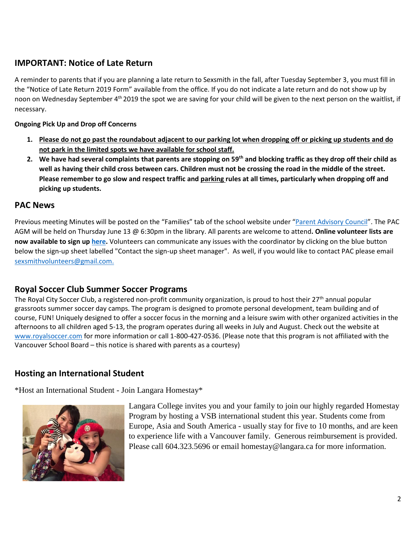# **IMPORTANT: Notice of Late Return**

A reminder to parents that if you are planning a late return to Sexsmith in the fall, after Tuesday September 3, you must fill in the "Notice of Late Return 2019 Form" available from the office. If you do not indicate a late return and do not show up by noon on Wednesday September 4<sup>th</sup> 2019 the spot we are saving for your child will be given to the next person on the waitlist, if necessary.

#### **Ongoing Pick Up and Drop off Concerns**

- **1. Please do not go past the roundabout adjacent to our parking lot when dropping off or picking up students and do not park in the limited spots we have available for school staff.**
- **2. We have had several complaints that parents are stopping on 59th and blocking traffic as they drop off their child as well as having their child cross between cars. Children must not be crossing the road in the middle of the street. Please remember to go slow and respect traffic and parking rules at all times, particularly when dropping off and picking up students.**

#### **PAC News**

Previous meeting Minutes will be posted on the "Families" tab of the school website under "[Parent Advisory Council](https://www.vsb.bc.ca/schools/jw-sexsmith/Families/Parent-Advisory-Council/Pages/default.aspx)". The PAC AGM will be held on Thursday June 13 @ 6:30pm in the library. All parents are welcome to attend**. Online volunteer lists are now available to sign up [here.](https://www.vsb.bc.ca/schools/jw-sexsmith/Families/Volunteer/Pages/default.aspx?rf=60dffc84-32f0-4e6d-91f4-029ada54abc9)** Volunteers can communicate any issues with the coordinator by clicking on the blue button below the sign-up sheet labelled "Contact the sign-up sheet manager". As well, if you would like to contact PAC please email [sexsmithvolunteers@gmail.com.](mailto:sexsmithvolunteers@gmail.com)

# **Royal Soccer Club Summer Soccer Programs**

The Royal City Soccer Club, a registered non-profit community organization, is proud to host their  $27<sup>th</sup>$  annual popular grassroots summer soccer day camps. The program is designed to promote personal development, team building and of course, FUN! Uniquely designed to offer a soccer focus in the morning and a leisure swim with other organized activities in the afternoons to all children aged 5-13, the program operates during all weeks in July and August. Check out the website at [www.royalsoccer.com](http://www.royalsoccer.com/) for more information or call 1-800-427-0536. (Please note that this program is not affiliated with the Vancouver School Board – this notice is shared with parents as a courtesy)

# **Hosting an International Student**

\*Host an International Student - Join Langara Homestay\*



Langara College invites you and your family to join our highly regarded Homestay Program by hosting a VSB international student this year. Students come from Europe, Asia and South America - usually stay for five to 10 months, and are keen to experience life with a Vancouver family. Generous reimbursement is provided. Please call 604.323.5696 or email homestay@langara.ca for more information.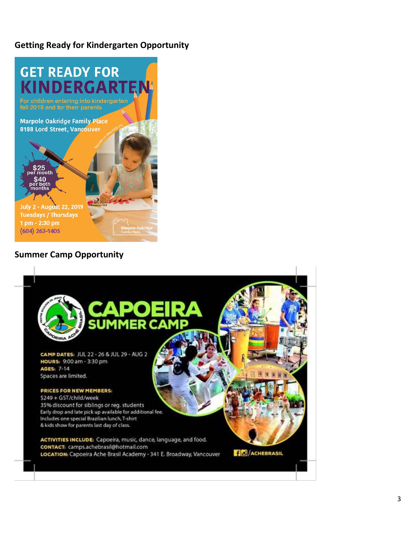# **Getting Ready for Kindergarten Opportunity**



#### **Summer Camp Opportunity**